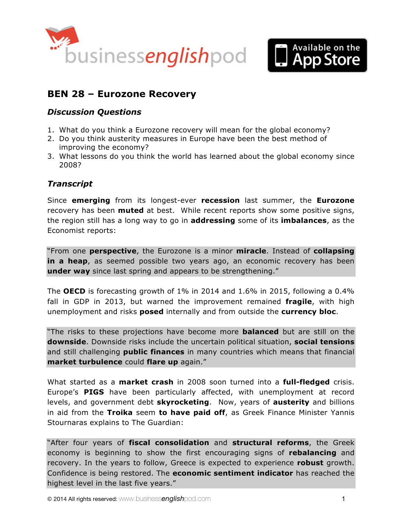



# **BEN 28 – Eurozone Recovery**

### *Discussion Questions*

- 1. What do you think a Eurozone recovery will mean for the global economy?
- 2. Do you think austerity measures in Europe have been the best method of improving the economy?
- 3. What lessons do you think the world has learned about the global economy since 2008?

# *Transcript*

Since **emerging** from its longest-ever **recession** last summer, the **Eurozone** recovery has been **muted** at best. While recent reports show some positive signs, the region still has a long way to go in **addressing** some of its **imbalances**, as the Economist reports:

"From one **perspective**, the Eurozone is a minor **miracle**. Instead of **collapsing**  in a heap, as seemed possible two years ago, an economic recovery has been **under way** since last spring and appears to be strengthening."

The **OECD** is forecasting growth of 1% in 2014 and 1.6% in 2015, following a 0.4% fall in GDP in 2013, but warned the improvement remained **fragile**, with high unemployment and risks **posed** internally and from outside the **currency bloc**.

"The risks to these projections have become more **balanced** but are still on the **downside**. Downside risks include the uncertain political situation, **social tensions** and still challenging **public finances** in many countries which means that financial **market turbulence** could **flare up** again."

What started as a **market crash** in 2008 soon turned into a **full-fledged** crisis. Europe's **PIGS** have been particularly affected, with unemployment at record levels, and government debt **skyrocketing**. Now, years of **austerity** and billions in aid from the **Troika** seem **to have paid off**, as Greek Finance Minister Yannis Stournaras explains to The Guardian:

"After four years of **fiscal consolidation** and **structural reforms**, the Greek economy is beginning to show the first encouraging signs of **rebalancing** and recovery. In the years to follow, Greece is expected to experience **robust** growth. Confidence is being restored. The **economic sentiment indicator** has reached the highest level in the last five years."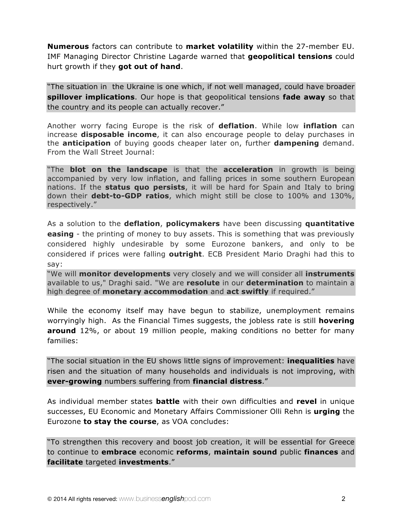**Numerous** factors can contribute to **market volatility** within the 27-member EU. IMF Managing Director Christine Lagarde warned that **geopolitical tensions** could hurt growth if they **got out of hand**.

"The situation in the Ukraine is one which, if not well managed, could have broader **spillover implications**. Our hope is that geopolitical tensions **fade away** so that the country and its people can actually recover."

Another worry facing Europe is the risk of **deflation**. While low **inflation** can increase **disposable income**, it can also encourage people to delay purchases in the **anticipation** of buying goods cheaper later on, further **dampening** demand. From the Wall Street Journal:

"The **blot on the landscape** is that the **acceleration** in growth is being accompanied by very low inflation, and falling prices in some southern European nations. If the **status quo persists**, it will be hard for Spain and Italy to bring down their **debt-to-GDP ratios**, which might still be close to 100% and 130%, respectively."

As a solution to the **deflation**, **policymakers** have been discussing **quantitative easing** - the printing of money to buy assets. This is something that was previously considered highly undesirable by some Eurozone bankers, and only to be considered if prices were falling **outright**. ECB President Mario Draghi had this to say:

"We will **monitor developments** very closely and we will consider all **instruments** available to us," Draghi said. "We are **resolute** in our **determination** to maintain a high degree of **monetary accommodation** and **act swiftly** if required."

While the economy itself may have begun to stabilize, unemployment remains worryingly high. As the Financial Times suggests, the jobless rate is still **hovering around** 12%, or about 19 million people, making conditions no better for many families:

"The social situation in the EU shows little signs of improvement: **inequalities** have risen and the situation of many households and individuals is not improving, with **ever-growing** numbers suffering from **financial distress**."

As individual member states **battle** with their own difficulties and **revel** in unique successes, EU Economic and Monetary Affairs Commissioner Olli Rehn is **urging** the Eurozone **to stay the course**, as VOA concludes:

"To strengthen this recovery and boost job creation, it will be essential for Greece to continue to **embrace** economic **reforms**, **maintain sound** public **finances** and **facilitate** targeted **investments**."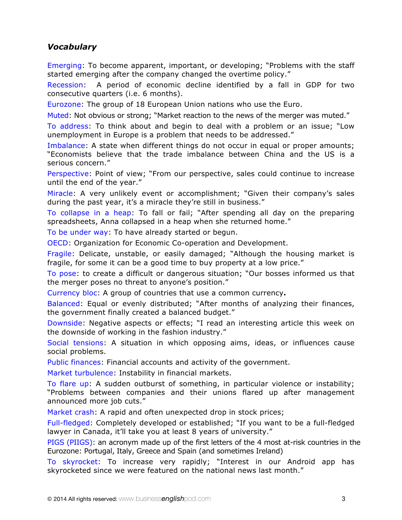# *Vocabulary*

Emerging: To become apparent, important, or developing; "Problems with the staff started emerging after the company changed the overtime policy."

Recession: A period of economic decline identified by a fall in GDP for two consecutive quarters (i.e. 6 months).

Eurozone: The group of 18 European Union nations who use the Euro.

Muted: Not obvious or strong; "Market reaction to the news of the merger was muted."

To address: To think about and begin to deal with a problem or an issue; "Low unemployment in Europe is a problem that needs to be addressed."

Imbalance: A state when different things do not occur in equal or proper amounts; "Economists believe that the trade imbalance between China and the US is a serious concern."

Perspective: Point of view; "From our perspective, sales could continue to increase until the end of the year."

Miracle: A very unlikely event or accomplishment; "Given their company's sales during the past year, it's a miracle they're still in business."

To collapse in a heap: To fall or fail; "After spending all day on the preparing spreadsheets, Anna collapsed in a heap when she returned home."

To be under way: To have already started or begun.

OECD: Organization for Economic Co-operation and Development.

Fragile: Delicate, unstable, or easily damaged; "Although the housing market is fragile, for some it can be a good time to buy property at a low price."

To pose: to create a difficult or dangerous situation; "Our bosses informed us that the merger poses no threat to anyone's position."

Currency bloc: A group of countries that use a common currency**.** 

Balanced: Equal or evenly distributed; "After months of analyzing their finances, the government finally created a balanced budget."

Downside: Negative aspects or effects; "I read an interesting article this week on the downside of working in the fashion industry."

Social tensions: A situation in which opposing aims, ideas, or influences cause social problems.

Public finances: Financial accounts and activity of the government.

Market turbulence: Instability in financial markets.

To flare up: A sudden outburst of something, in particular violence or instability; "Problems between companies and their unions flared up after management announced more job cuts."

Market crash: A rapid and often unexpected drop in stock prices;

Full-fledged: Completely developed or established; "If you want to be a full-fledged lawyer in Canada, it'll take you at least 8 years of university."

PIGS (PIIGS): an acronym made up of the first letters of the 4 most at-risk countries in the Eurozone: Portugal, Italy, Greece and Spain (and sometimes Ireland)

To skyrocket: To increase very rapidly; "Interest in our Android app has skyrocketed since we were featured on the national news last month."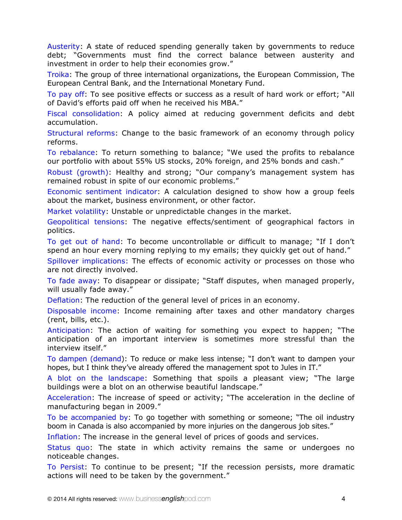Austerity: A state of reduced spending generally taken by governments to reduce debt; "Governments must find the correct balance between austerity and investment in order to help their economies grow."

Troika: The group of three international organizations, the European Commission, The European Central Bank, and the International Monetary Fund.

To pay off: To see positive effects or success as a result of hard work or effort; "All of David's efforts paid off when he received his MBA."

Fiscal consolidation: A policy aimed at reducing government deficits and debt accumulation.

Structural reforms: Change to the basic framework of an economy through policy reforms.

To rebalance: To return something to balance; "We used the profits to rebalance our portfolio with about 55% US stocks, 20% foreign, and 25% bonds and cash."

Robust (growth): Healthy and strong; "Our company's management system has remained robust in spite of our economic problems."

Economic sentiment indicator: A calculation designed to show how a group feels about the market, business environment, or other factor.

Market volatility: Unstable or unpredictable changes in the market.

Geopolitical tensions: The negative effects/sentiment of geographical factors in politics.

To get out of hand: To become uncontrollable or difficult to manage; "If I don't spend an hour every morning replying to my emails; they quickly get out of hand."

Spillover implications: The effects of economic activity or processes on those who are not directly involved.

To fade away: To disappear or dissipate; "Staff disputes, when managed properly, will usually fade away."

Deflation: The reduction of the general level of prices in an economy.

Disposable income: Income remaining after taxes and other mandatory charges (rent, bills, etc.).

Anticipation: The action of waiting for something you expect to happen; "The anticipation of an important interview is sometimes more stressful than the interview itself."

To dampen (demand): To reduce or make less intense; "I don't want to dampen your hopes, but I think they've already offered the management spot to Jules in IT."

A blot on the landscape: Something that spoils a pleasant view; "The large buildings were a blot on an otherwise beautiful landscape."

Acceleration: The increase of speed or activity; "The acceleration in the decline of manufacturing began in 2009."

To be accompanied by: To go together with something or someone; "The oil industry boom in Canada is also accompanied by more injuries on the dangerous job sites."

Inflation: The increase in the general level of prices of goods and services.

Status quo: The state in which activity remains the same or undergoes no noticeable changes.

To Persist: To continue to be present; "If the recession persists, more dramatic actions will need to be taken by the government."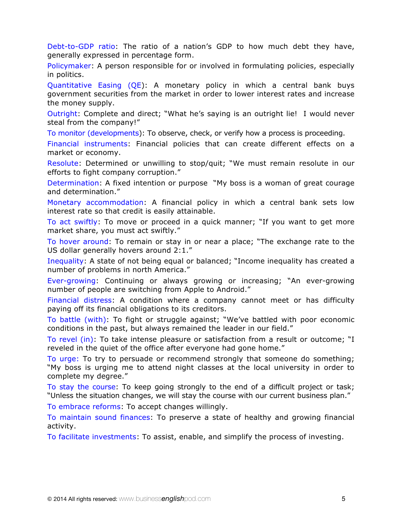Debt-to-GDP ratio: The ratio of a nation's GDP to how much debt they have, generally expressed in percentage form.

Policymaker: A person responsible for or involved in formulating policies, especially in politics.

Quantitative Easing (QE): A monetary policy in which a central bank buys government securities from the market in order to lower interest rates and increase the money supply.

Outright: Complete and direct; "What he's saying is an outright lie! I would never steal from the company!"

To monitor (developments): To observe, check, or verify how a process is proceeding.

Financial instruments: Financial policies that can create different effects on a market or economy.

Resolute: Determined or unwilling to stop/quit; "We must remain resolute in our efforts to fight company corruption."

Determination: A fixed intention or purpose "My boss is a woman of great courage and determination."

Monetary accommodation: A financial policy in which a central bank sets low interest rate so that credit is easily attainable.

To act swiftly: To move or proceed in a quick manner; "If you want to get more market share, you must act swiftly."

To hover around: To remain or stay in or near a place; "The exchange rate to the US dollar generally hovers around 2:1."

Inequality: A state of not being equal or balanced; "Income inequality has created a number of problems in north America."

Ever-growing: Continuing or always growing or increasing; "An ever-growing number of people are switching from Apple to Android."

Financial distress: A condition where a company cannot meet or has difficulty paying off its financial obligations to its creditors.

To battle (with): To fight or struggle against; "We've battled with poor economic conditions in the past, but always remained the leader in our field."

To revel (in): To take intense pleasure or satisfaction from a result or outcome; "I reveled in the quiet of the office after everyone had gone home."

To urge: To try to persuade or recommend strongly that someone do something; "My boss is urging me to attend night classes at the local university in order to complete my degree."

To stay the course: To keep going strongly to the end of a difficult project or task; "Unless the situation changes, we will stay the course with our current business plan."

To embrace reforms: To accept changes willingly.

To maintain sound finances: To preserve a state of healthy and growing financial activity.

To facilitate investments: To assist, enable, and simplify the process of investing.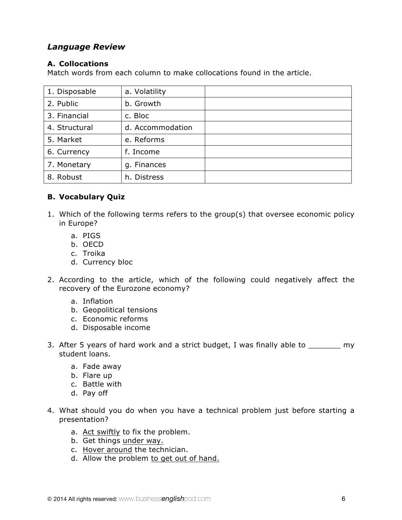### *Language Review*

#### **A. Collocations**

Match words from each column to make collocations found in the article.

| 1. Disposable | a. Volatility    |  |
|---------------|------------------|--|
| 2. Public     | b. Growth        |  |
| 3. Financial  | c. Bloc          |  |
| 4. Structural | d. Accommodation |  |
| 5. Market     | e. Reforms       |  |
| 6. Currency   | f. Income        |  |
| 7. Monetary   | g. Finances      |  |
| 8. Robust     | h. Distress      |  |

#### **B. Vocabulary Quiz**

- 1. Which of the following terms refers to the group(s) that oversee economic policy in Europe?
	- a. PIGS
	- b. OECD
	- c. Troika
	- d. Currency bloc
- 2. According to the article, which of the following could negatively affect the recovery of the Eurozone economy?
	- a. Inflation
	- b. Geopolitical tensions
	- c. Economic reforms
	- d. Disposable income
- 3. After 5 years of hard work and a strict budget, I was finally able to \_\_\_\_\_\_\_ my student loans.
	- a. Fade away
	- b. Flare up
	- c. Battle with
	- d. Pay off
- 4. What should you do when you have a technical problem just before starting a presentation?
	- a. Act swiftly to fix the problem.
	- b. Get things under way.
	- c. Hover around the technician.
	- d. Allow the problem to get out of hand.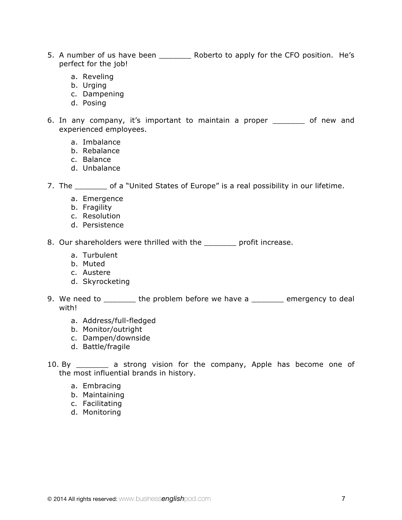- 5. A number of us have been \_\_\_\_\_\_\_\_\_ Roberto to apply for the CFO position. He's perfect for the job!
	- a. Reveling
	- b. Urging
	- c. Dampening
	- d. Posing
- 6. In any company, it's important to maintain a proper \_\_\_\_\_\_\_ of new and experienced employees.
	- a. Imbalance
	- b. Rebalance
	- c. Balance
	- d. Unbalance

7. The \_\_\_\_\_\_\_ of a "United States of Europe" is a real possibility in our lifetime.

- a. Emergence
- b. Fragility
- c. Resolution
- d. Persistence

8. Our shareholders were thrilled with the early profit increase.

- a. Turbulent
- b. Muted
- c. Austere
- d. Skyrocketing
- 9. We need to \_\_\_\_\_\_\_\_ the problem before we have a \_\_\_\_\_\_\_ emergency to deal with!
	- a. Address/full-fledged
	- b. Monitor/outright
	- c. Dampen/downside
	- d. Battle/fragile

10. By \_\_\_\_\_\_\_\_ a strong vision for the company, Apple has become one of the most influential brands in history.

- a. Embracing
- b. Maintaining
- c. Facilitating
- d. Monitoring